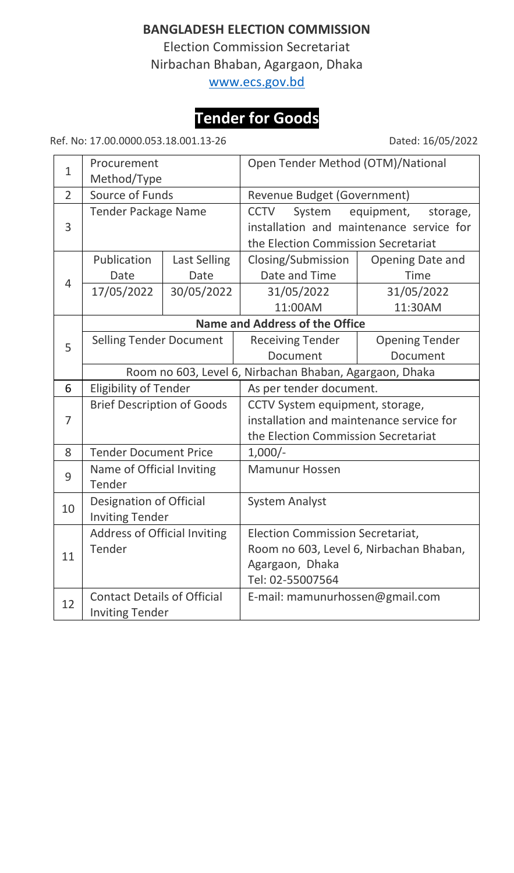## **BANGLADESH ELECTION COMMISSION**

Election Commission Secretariat Nirbachan Bhaban, Agargaon, Dhaka

[www.ecs.gov.bd](http://www.ecs.gov.bd/)

## **Tender for Goods**

Ref. No: 17.00.0000.053.18.001.13-26 Dated: 16/05/2022

| 1              | Procurement<br>Method/Type                                   |                      | Open Tender Method (OTM)/National                                                                                                  |                                   |  |
|----------------|--------------------------------------------------------------|----------------------|------------------------------------------------------------------------------------------------------------------------------------|-----------------------------------|--|
| $\overline{2}$ | Source of Funds                                              |                      | Revenue Budget (Government)                                                                                                        |                                   |  |
| 3              | <b>Tender Package Name</b>                                   |                      | System<br>equipment,<br><b>CCTV</b><br>storage,<br>installation and maintenance service for<br>the Election Commission Secretariat |                                   |  |
| 4              | Publication<br>Date                                          | Last Selling<br>Date | Closing/Submission<br>Date and Time                                                                                                | Opening Date and<br>Time          |  |
|                | 17/05/2022                                                   | 30/05/2022           | 31/05/2022<br>11:00AM                                                                                                              | 31/05/2022<br>11:30AM             |  |
| 5              | Name and Address of the Office                               |                      |                                                                                                                                    |                                   |  |
|                | Selling Tender Document                                      |                      | <b>Receiving Tender</b><br>Document                                                                                                | <b>Opening Tender</b><br>Document |  |
|                |                                                              |                      | Room no 603, Level 6, Nirbachan Bhaban, Agargaon, Dhaka                                                                            |                                   |  |
| 6              | Eligibility of Tender                                        |                      | As per tender document.                                                                                                            |                                   |  |
| 7              | <b>Brief Description of Goods</b>                            |                      | CCTV System equipment, storage,<br>installation and maintenance service for<br>the Election Commission Secretariat                 |                                   |  |
| 8              | <b>Tender Document Price</b>                                 |                      | $1,000/-$                                                                                                                          |                                   |  |
| 9              | Name of Official Inviting<br>Tender                          |                      | Mamunur Hossen                                                                                                                     |                                   |  |
| 10             | Designation of Official<br><b>Inviting Tender</b>            |                      | <b>System Analyst</b>                                                                                                              |                                   |  |
| 11             | Address of Official Inviting<br>Tender                       |                      | Election Commission Secretariat,<br>Room no 603, Level 6, Nirbachan Bhaban,<br>Agargaon, Dhaka<br>Tel: 02-55007564                 |                                   |  |
| 12             | <b>Contact Details of Official</b><br><b>Inviting Tender</b> |                      | E-mail: mamunurhossen@gmail.com                                                                                                    |                                   |  |